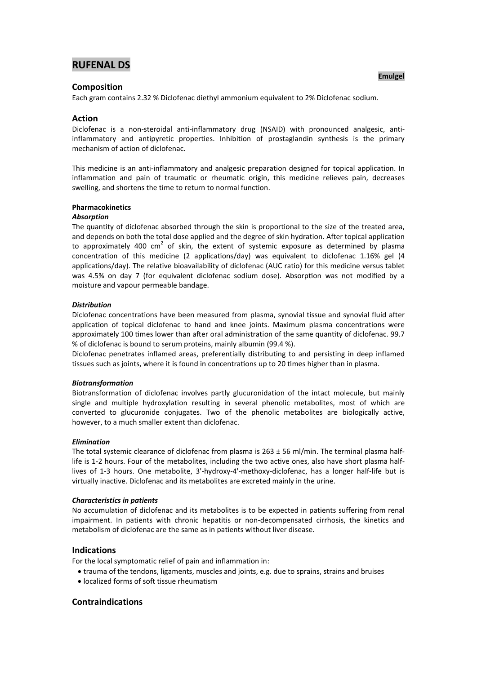# **RUFENAL DS**<br> **RUFENAL DS**

# **Composition**

Each gram contains 2.32 % Diclofenac diethyl ammonium equivalent to 2% Diclofenac sodium.

# **Action**

Diclofenac is a non-steroidal anti-inflammatory drug (NSAID) with pronounced analgesic, antiinflammatory and antipyretic properties. Inhibition of prostaglandin synthesis is the primary mechanism of action of diclofenac.

This medicine is an anti-inflammatory and analgesic preparation designed for topical application. In inflammation and pain of traumatic or rheumatic origin, this medicine relieves pain, decreases swelling, and shortens the time to return to normal function.

# **Pharmacokinetics**

#### *Absorption*

The quantity of diclofenac absorbed through the skin is proportional to the size of the treated area, and depends on both the total dose applied and the degree of skin hydration. After topical application to approximately 400  $\text{cm}^2$  of skin, the extent of systemic exposure as determined by plasma concentration of this medicine (2 applications/day) was equivalent to diclofenac 1.16% gel (4 applications/day). The relative bioavailability of diclofenac (AUC ratio) for this medicine versus tablet was 4.5% on day 7 (for equivalent diclofenac sodium dose). Absorption was not modified by a moisture and vapour permeable bandage.

## *Distribution*

Diclofenac concentrations have been measured from plasma, synovial tissue and synovial fluid after application of topical diclofenac to hand and knee joints. Maximum plasma concentrations were approximately 100 times lower than after oral administration of the same quantity of diclofenac. 99.7 % of diclofenac is bound to serum proteins, mainly albumin (99.4 %).

Diclofenac penetrates inflamed areas, preferentially distributing to and persisting in deep inflamed tissues such as joints, where it is found in concentrations up to 20 times higher than in plasma.

#### *Biotransformation*

Biotransformation of diclofenac involves partly glucuronidation of the intact molecule, but mainly single and multiple hydroxylation resulting in several phenolic metabolites, most of which are converted to glucuronide conjugates. Two of the phenolic metabolites are biologically active, however, to a much smaller extent than diclofenac.

#### *Elimination*

The total systemic clearance of diclofenac from plasma is  $263 \pm 56$  ml/min. The terminal plasma halflife is 1-2 hours. Four of the metabolites, including the two active ones, also have short plasma halflives of 1-3 hours. One metabolite, 3'-hydroxy-4'-methoxy-diclofenac, has a longer half-life but is virtually inactive. Diclofenac and its metabolites are excreted mainly in the urine.

#### *Characteristics in patients*

No accumulation of diclofenac and its metabolites is to be expected in patients suffering from renal impairment. In patients with chronic hepatitis or non-decompensated cirrhosis, the kinetics and metabolism of diclofenac are the same as in patients without liver disease.

# **Indications**

For the local symptomatic relief of pain and inflammation in:

- trauma of the tendons, ligaments, muscles and joints, e.g. due to sprains, strains and bruises
- localized forms of soft tissue rheumatism

# **Contraindications**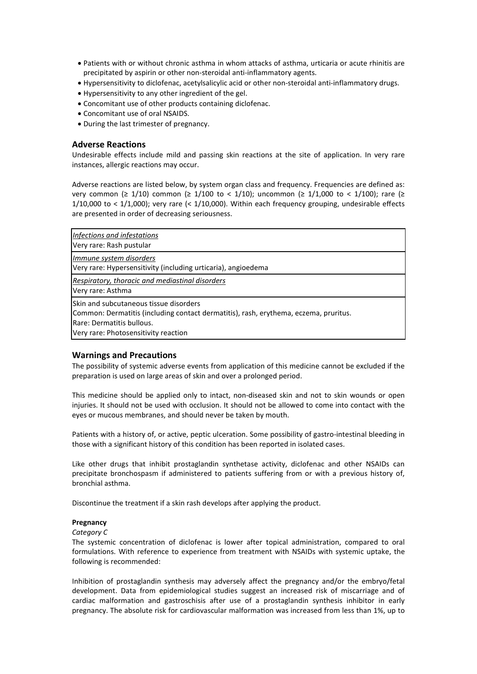- Patients with or without chronic asthma in whom attacks of asthma, urticaria or acute rhinitis are precipitated by aspirin or other non-steroidal anti-inflammatory agents.
- Hypersensitivity to diclofenac, acetylsalicylic acid or other non-steroidal anti-inflammatory drugs.
- Hypersensitivity to any other ingredient of the gel.
- Concomitant use of other products containing diclofenac.
- Concomitant use of oral NSAIDS.
- During the last trimester of pregnancy.

# **Adverse Reactions**

Undesirable effects include mild and passing skin reactions at the site of application. In very rare instances, allergic reactions may occur.

Adverse reactions are listed below, by system organ class and frequency. Frequencies are defined as: very common ( $\geq 1/10$ ) common ( $\geq 1/100$  to < 1/10); uncommon ( $\geq 1/1,000$  to < 1/100); rare ( $\geq$ 1/10,000 to < 1/1,000); very rare (< 1/10,000). Within each frequency grouping, undesirable effects are presented in order of decreasing seriousness.

| Infections and infestations<br>Very rare: Rash pustular                                                                                                                                                     |
|-------------------------------------------------------------------------------------------------------------------------------------------------------------------------------------------------------------|
| Immune system disorders<br>Very rare: Hypersensitivity (including urticaria), angioedema                                                                                                                    |
| Respiratory, thoracic and mediastinal disorders<br>Very rare: Asthma                                                                                                                                        |
| <b>ISkin and subcutaneous tissue disorders</b><br>Common: Dermatitis (including contact dermatitis), rash, erythema, eczema, pruritus.<br>Rare: Dermatitis bullous.<br>Very rare: Photosensitivity reaction |

# **Warnings and Precautions**

The possibility of systemic adverse events from application of this medicine cannot be excluded if the preparation is used on large areas of skin and over a prolonged period.

This medicine should be applied only to intact, non-diseased skin and not to skin wounds or open injuries. It should not be used with occlusion. It should not be allowed to come into contact with the eyes or mucous membranes, and should never be taken by mouth.

Patients with a history of, or active, peptic ulceration. Some possibility of gastro-intestinal bleeding in those with a significant history of this condition has been reported in isolated cases.

Like other drugs that inhibit prostaglandin synthetase activity, diclofenac and other NSAIDs can precipitate bronchospasm if administered to patients suffering from or with a previous history of, bronchial asthma.

Discontinue the treatment if a skin rash develops after applying the product.

#### **Pregnancy**

#### *Category C*

The systemic concentration of diclofenac is lower after topical administration, compared to oral formulations. With reference to experience from treatment with NSAIDs with systemic uptake, the following is recommended:

Inhibition of prostaglandin synthesis may adversely affect the pregnancy and/or the embryo/fetal development. Data from epidemiological studies suggest an increased risk of miscarriage and of cardiac malformation and gastroschisis after use of a prostaglandin synthesis inhibitor in early pregnancy. The absolute risk for cardiovascular malformation was increased from less than 1%, up to